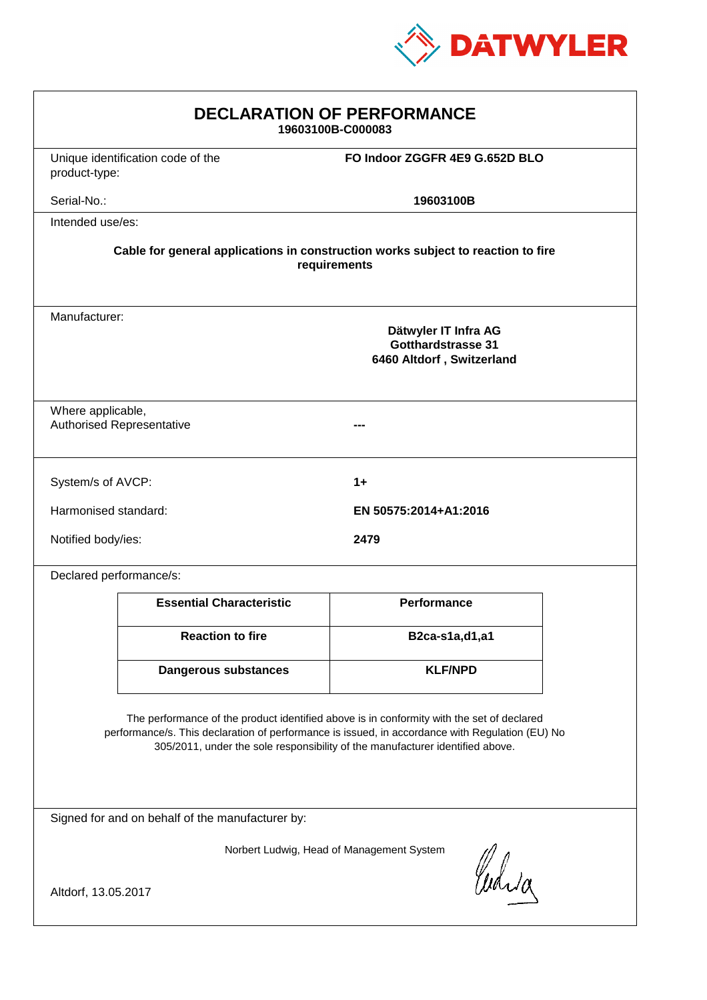

| <b>DECLARATION OF PERFORMANCE</b><br>19603100B-C000083                                                                                                                                                                                                                        |                                   |                                                                         |  |
|-------------------------------------------------------------------------------------------------------------------------------------------------------------------------------------------------------------------------------------------------------------------------------|-----------------------------------|-------------------------------------------------------------------------|--|
| product-type:                                                                                                                                                                                                                                                                 | Unique identification code of the | FO Indoor ZGGFR 4E9 G.652D BLO                                          |  |
| Serial-No.:                                                                                                                                                                                                                                                                   |                                   | 19603100B                                                               |  |
| Intended use/es:                                                                                                                                                                                                                                                              |                                   |                                                                         |  |
| Cable for general applications in construction works subject to reaction to fire<br>requirements                                                                                                                                                                              |                                   |                                                                         |  |
| Manufacturer:                                                                                                                                                                                                                                                                 |                                   | Dätwyler IT Infra AG<br>Gotthardstrasse 31<br>6460 Altdorf, Switzerland |  |
| Where applicable,                                                                                                                                                                                                                                                             | <b>Authorised Representative</b>  |                                                                         |  |
| System/s of AVCP:                                                                                                                                                                                                                                                             |                                   | $1+$                                                                    |  |
| Harmonised standard:                                                                                                                                                                                                                                                          |                                   | EN 50575:2014+A1:2016                                                   |  |
| Notified body/ies:                                                                                                                                                                                                                                                            |                                   | 2479                                                                    |  |
| Declared performance/s:                                                                                                                                                                                                                                                       |                                   |                                                                         |  |
|                                                                                                                                                                                                                                                                               | <b>Essential Characteristic</b>   | <b>Performance</b>                                                      |  |
|                                                                                                                                                                                                                                                                               | <b>Reaction to fire</b>           | B2ca-s1a,d1,a1                                                          |  |
|                                                                                                                                                                                                                                                                               | Dangerous substances              | <b>KLF/NPD</b>                                                          |  |
| The performance of the product identified above is in conformity with the set of declared<br>performance/s. This declaration of performance is issued, in accordance with Regulation (EU) No<br>305/2011, under the sole responsibility of the manufacturer identified above. |                                   |                                                                         |  |
| Signed for and on behalf of the manufacturer by:                                                                                                                                                                                                                              |                                   |                                                                         |  |
| Norbert Ludwig, Head of Management System                                                                                                                                                                                                                                     |                                   |                                                                         |  |
| Curia<br>Altdorf, 13.05.2017                                                                                                                                                                                                                                                  |                                   |                                                                         |  |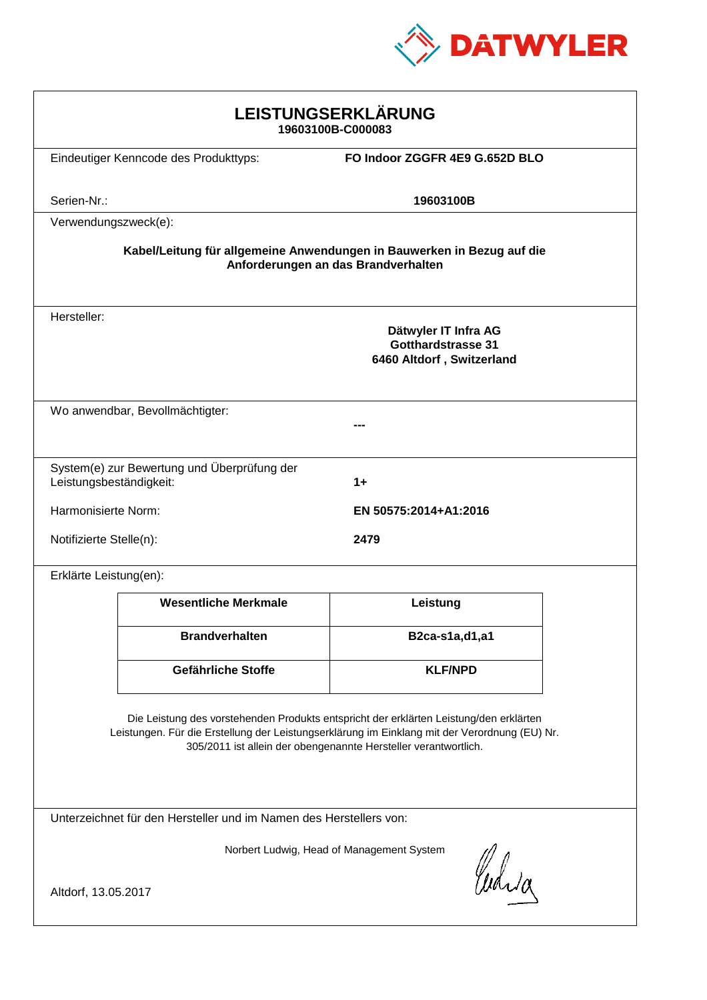

| <b>LEISTUNGSERKLÄRUNG</b><br>19603100B-C000083                                                                                                                                                                                                             |                                             |                                                                                |  |
|------------------------------------------------------------------------------------------------------------------------------------------------------------------------------------------------------------------------------------------------------------|---------------------------------------------|--------------------------------------------------------------------------------|--|
|                                                                                                                                                                                                                                                            | Eindeutiger Kenncode des Produkttyps:       | FO Indoor ZGGFR 4E9 G.652D BLO                                                 |  |
| Serien-Nr.:                                                                                                                                                                                                                                                |                                             | 19603100B                                                                      |  |
| Verwendungszweck(e):                                                                                                                                                                                                                                       |                                             |                                                                                |  |
| Kabel/Leitung für allgemeine Anwendungen in Bauwerken in Bezug auf die<br>Anforderungen an das Brandverhalten                                                                                                                                              |                                             |                                                                                |  |
| Hersteller:                                                                                                                                                                                                                                                |                                             | Dätwyler IT Infra AG<br><b>Gotthardstrasse 31</b><br>6460 Altdorf, Switzerland |  |
|                                                                                                                                                                                                                                                            | Wo anwendbar, Bevollmächtigter:             |                                                                                |  |
| Leistungsbeständigkeit:                                                                                                                                                                                                                                    | System(e) zur Bewertung und Überprüfung der | 1+                                                                             |  |
| Harmonisierte Norm:                                                                                                                                                                                                                                        |                                             | EN 50575:2014+A1:2016                                                          |  |
| Notifizierte Stelle(n):                                                                                                                                                                                                                                    |                                             | 2479                                                                           |  |
| Erklärte Leistung(en):                                                                                                                                                                                                                                     |                                             |                                                                                |  |
|                                                                                                                                                                                                                                                            | <b>Wesentliche Merkmale</b>                 | Leistung                                                                       |  |
|                                                                                                                                                                                                                                                            | <b>Brandverhalten</b>                       | B2ca-s1a,d1,a1                                                                 |  |
|                                                                                                                                                                                                                                                            | Gefährliche Stoffe                          | <b>KLF/NPD</b>                                                                 |  |
| Die Leistung des vorstehenden Produkts entspricht der erklärten Leistung/den erklärten<br>Leistungen. Für die Erstellung der Leistungserklärung im Einklang mit der Verordnung (EU) Nr.<br>305/2011 ist allein der obengenannte Hersteller verantwortlich. |                                             |                                                                                |  |
| Unterzeichnet für den Hersteller und im Namen des Herstellers von:                                                                                                                                                                                         |                                             |                                                                                |  |
| Norbert Ludwig, Head of Management System<br>Curia<br>Altdorf, 13.05.2017                                                                                                                                                                                  |                                             |                                                                                |  |
|                                                                                                                                                                                                                                                            |                                             |                                                                                |  |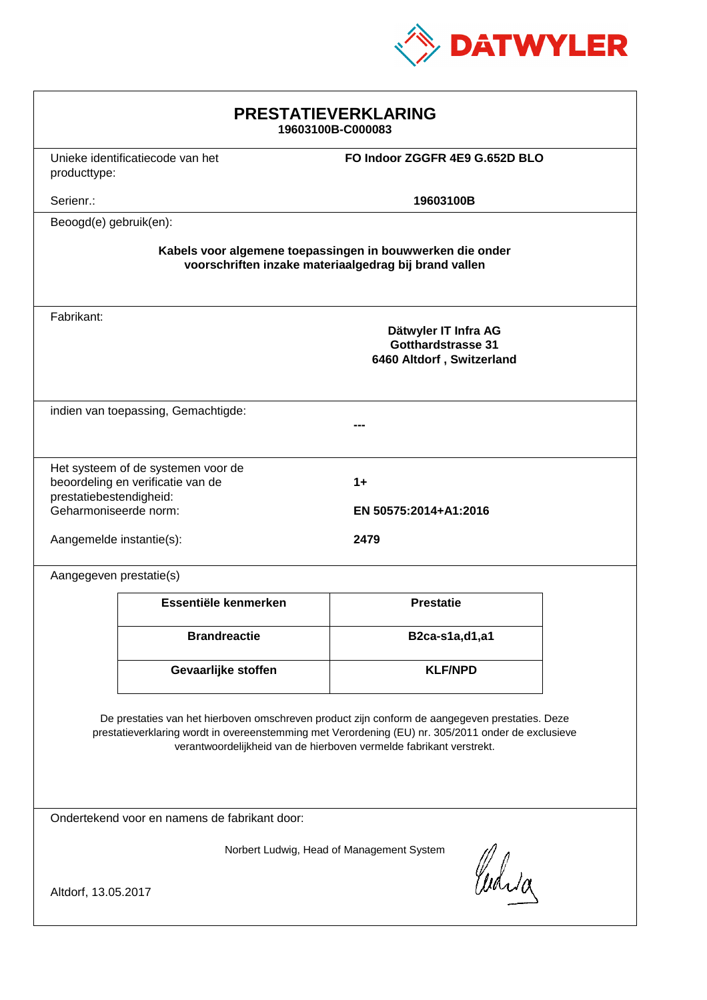

| <b>PRESTATIEVERKLARING</b><br>19603100B-C000083                                                                                                                                                                                                                             |                                  |                                                                         |  |
|-----------------------------------------------------------------------------------------------------------------------------------------------------------------------------------------------------------------------------------------------------------------------------|----------------------------------|-------------------------------------------------------------------------|--|
| producttype:                                                                                                                                                                                                                                                                | Unieke identificatiecode van het | FO Indoor ZGGFR 4E9 G.652D BLO                                          |  |
| Serienr.:                                                                                                                                                                                                                                                                   |                                  | 19603100B                                                               |  |
| Beoogd(e) gebruik(en):                                                                                                                                                                                                                                                      |                                  |                                                                         |  |
| Kabels voor algemene toepassingen in bouwwerken die onder<br>voorschriften inzake materiaalgedrag bij brand vallen                                                                                                                                                          |                                  |                                                                         |  |
| Fabrikant:                                                                                                                                                                                                                                                                  |                                  | Dätwyler IT Infra AG<br>Gotthardstrasse 31<br>6460 Altdorf, Switzerland |  |
| indien van toepassing, Gemachtigde:                                                                                                                                                                                                                                         |                                  |                                                                         |  |
| Het systeem of de systemen voor de<br>beoordeling en verificatie van de<br>$1+$<br>prestatiebestendigheid:<br>Geharmoniseerde norm:<br>EN 50575:2014+A1:2016                                                                                                                |                                  |                                                                         |  |
| Aangemelde instantie(s):                                                                                                                                                                                                                                                    |                                  | 2479                                                                    |  |
| Aangegeven prestatie(s)                                                                                                                                                                                                                                                     |                                  |                                                                         |  |
|                                                                                                                                                                                                                                                                             | Essentiële kenmerken             | <b>Prestatie</b>                                                        |  |
|                                                                                                                                                                                                                                                                             | <b>Brandreactie</b>              | B2ca-s1a,d1,a1                                                          |  |
|                                                                                                                                                                                                                                                                             | Gevaarlijke stoffen              | <b>KLF/NPD</b>                                                          |  |
| De prestaties van het hierboven omschreven product zijn conform de aangegeven prestaties. Deze<br>prestatieverklaring wordt in overeenstemming met Verordening (EU) nr. 305/2011 onder de exclusieve<br>verantwoordelijkheid van de hierboven vermelde fabrikant verstrekt. |                                  |                                                                         |  |
| Ondertekend voor en namens de fabrikant door:                                                                                                                                                                                                                               |                                  |                                                                         |  |
| Norbert Ludwig, Head of Management System<br>Curia<br>Altdorf, 13.05.2017                                                                                                                                                                                                   |                                  |                                                                         |  |
|                                                                                                                                                                                                                                                                             |                                  |                                                                         |  |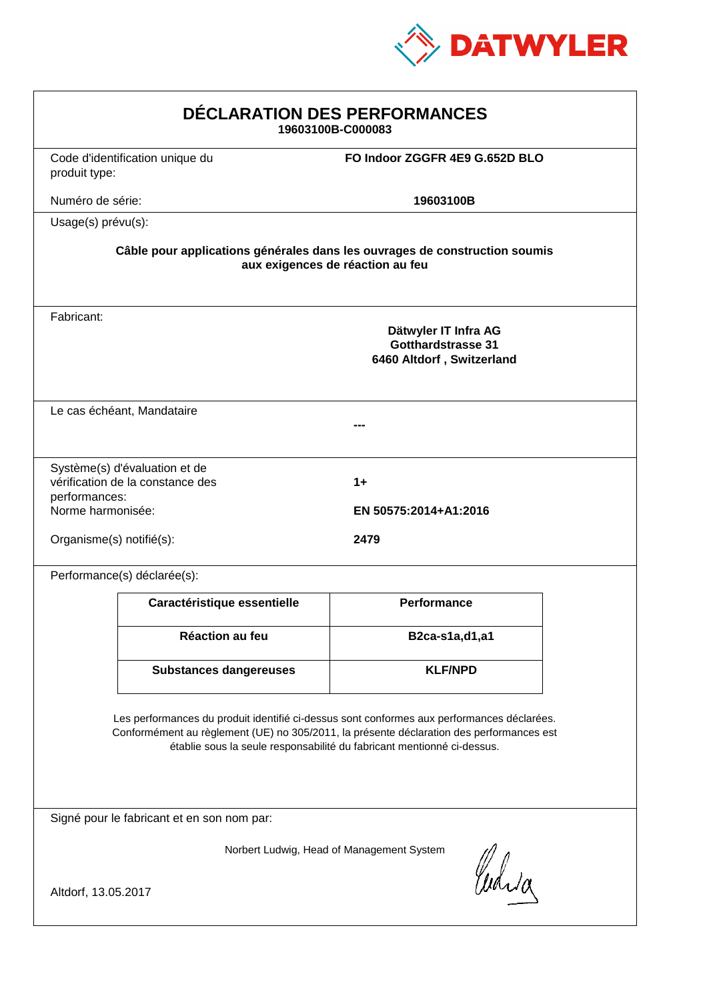

| DÉCLARATION DES PERFORMANCES<br>19603100B-C000083                                                                                                                                                                                                                |                                 |                                                                                |  |
|------------------------------------------------------------------------------------------------------------------------------------------------------------------------------------------------------------------------------------------------------------------|---------------------------------|--------------------------------------------------------------------------------|--|
| produit type:                                                                                                                                                                                                                                                    | Code d'identification unique du | FO Indoor ZGGFR 4E9 G.652D BLO                                                 |  |
| Numéro de série:                                                                                                                                                                                                                                                 |                                 | 19603100B                                                                      |  |
| Usage(s) prévu(s):                                                                                                                                                                                                                                               |                                 |                                                                                |  |
| Câble pour applications générales dans les ouvrages de construction soumis<br>aux exigences de réaction au feu                                                                                                                                                   |                                 |                                                                                |  |
| Fabricant:                                                                                                                                                                                                                                                       |                                 | Dätwyler IT Infra AG<br><b>Gotthardstrasse 31</b><br>6460 Altdorf, Switzerland |  |
| Le cas échéant, Mandataire                                                                                                                                                                                                                                       |                                 |                                                                                |  |
| Système(s) d'évaluation et de<br>vérification de la constance des<br>$1+$<br>performances:<br>Norme harmonisée:<br>EN 50575:2014+A1:2016<br>Organisme(s) notifié(s):                                                                                             |                                 |                                                                                |  |
|                                                                                                                                                                                                                                                                  | Performance(s) déclarée(s):     | 2479                                                                           |  |
|                                                                                                                                                                                                                                                                  | Caractéristique essentielle     | <b>Performance</b>                                                             |  |
|                                                                                                                                                                                                                                                                  | Réaction au feu                 | B2ca-s1a,d1,a1                                                                 |  |
|                                                                                                                                                                                                                                                                  | <b>Substances dangereuses</b>   | <b>KLF/NPD</b>                                                                 |  |
| Les performances du produit identifié ci-dessus sont conformes aux performances déclarées.<br>Conformément au règlement (UE) no 305/2011, la présente déclaration des performances est<br>établie sous la seule responsabilité du fabricant mentionné ci-dessus. |                                 |                                                                                |  |
| Signé pour le fabricant et en son nom par:                                                                                                                                                                                                                       |                                 |                                                                                |  |
| Norbert Ludwig, Head of Management System<br>Curia                                                                                                                                                                                                               |                                 |                                                                                |  |
| Altdorf, 13.05.2017                                                                                                                                                                                                                                              |                                 |                                                                                |  |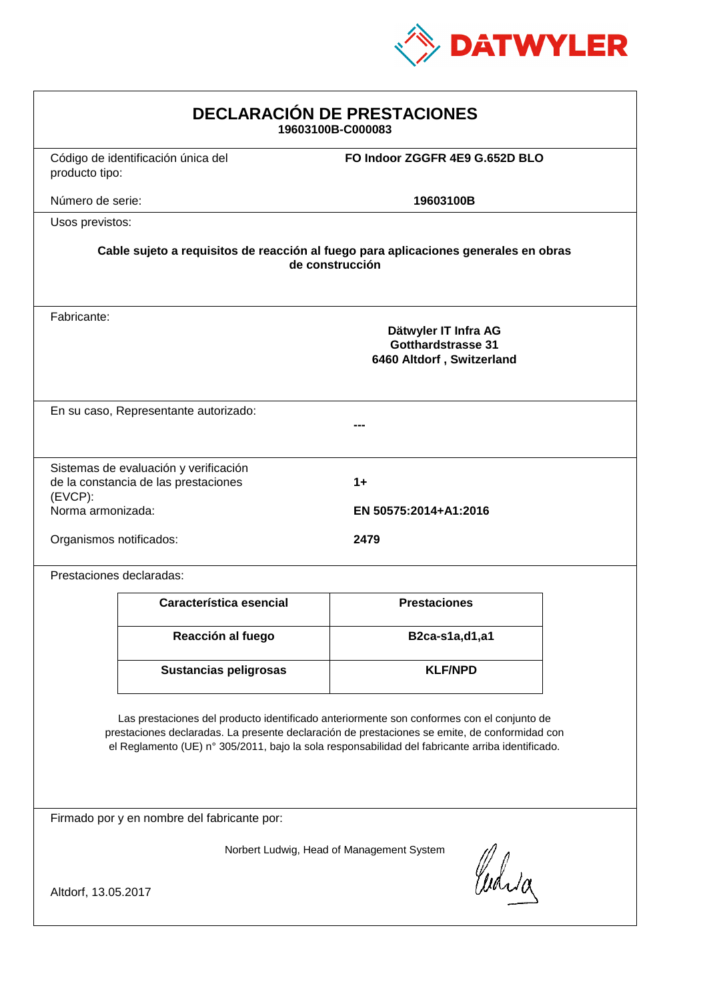

| <b>DECLARACIÓN DE PRESTACIONES</b><br>19603100B-C000083                                                                                                                                                                                                                                        |                                                                               |                                                                                |  |
|------------------------------------------------------------------------------------------------------------------------------------------------------------------------------------------------------------------------------------------------------------------------------------------------|-------------------------------------------------------------------------------|--------------------------------------------------------------------------------|--|
| producto tipo:                                                                                                                                                                                                                                                                                 | Código de identificación única del                                            | FO Indoor ZGGFR 4E9 G.652D BLO                                                 |  |
| Número de serie:                                                                                                                                                                                                                                                                               |                                                                               | 19603100B                                                                      |  |
| Usos previstos:                                                                                                                                                                                                                                                                                |                                                                               |                                                                                |  |
| Cable sujeto a requisitos de reacción al fuego para aplicaciones generales en obras<br>de construcción                                                                                                                                                                                         |                                                                               |                                                                                |  |
| Fabricante:                                                                                                                                                                                                                                                                                    |                                                                               | Dätwyler IT Infra AG<br><b>Gotthardstrasse 31</b><br>6460 Altdorf, Switzerland |  |
| En su caso, Representante autorizado:                                                                                                                                                                                                                                                          |                                                                               |                                                                                |  |
| (EVCP):<br>Norma armonizada:                                                                                                                                                                                                                                                                   | Sistemas de evaluación y verificación<br>de la constancia de las prestaciones | $1+$<br>EN 50575:2014+A1:2016                                                  |  |
| Organismos notificados:<br>2479                                                                                                                                                                                                                                                                |                                                                               |                                                                                |  |
|                                                                                                                                                                                                                                                                                                | Prestaciones declaradas:                                                      |                                                                                |  |
|                                                                                                                                                                                                                                                                                                | Característica esencial                                                       | <b>Prestaciones</b>                                                            |  |
|                                                                                                                                                                                                                                                                                                | Reacción al fuego                                                             | B2ca-s1a,d1,a1                                                                 |  |
|                                                                                                                                                                                                                                                                                                | Sustancias peligrosas                                                         | <b>KLF/NPD</b>                                                                 |  |
| Las prestaciones del producto identificado anteriormente son conformes con el conjunto de<br>prestaciones declaradas. La presente declaración de prestaciones se emite, de conformidad con<br>el Reglamento (UE) nº 305/2011, bajo la sola responsabilidad del fabricante arriba identificado. |                                                                               |                                                                                |  |
| Firmado por y en nombre del fabricante por:                                                                                                                                                                                                                                                    |                                                                               |                                                                                |  |
| Norbert Ludwig, Head of Management System<br>Curia                                                                                                                                                                                                                                             |                                                                               |                                                                                |  |
| Altdorf, 13.05.2017                                                                                                                                                                                                                                                                            |                                                                               |                                                                                |  |